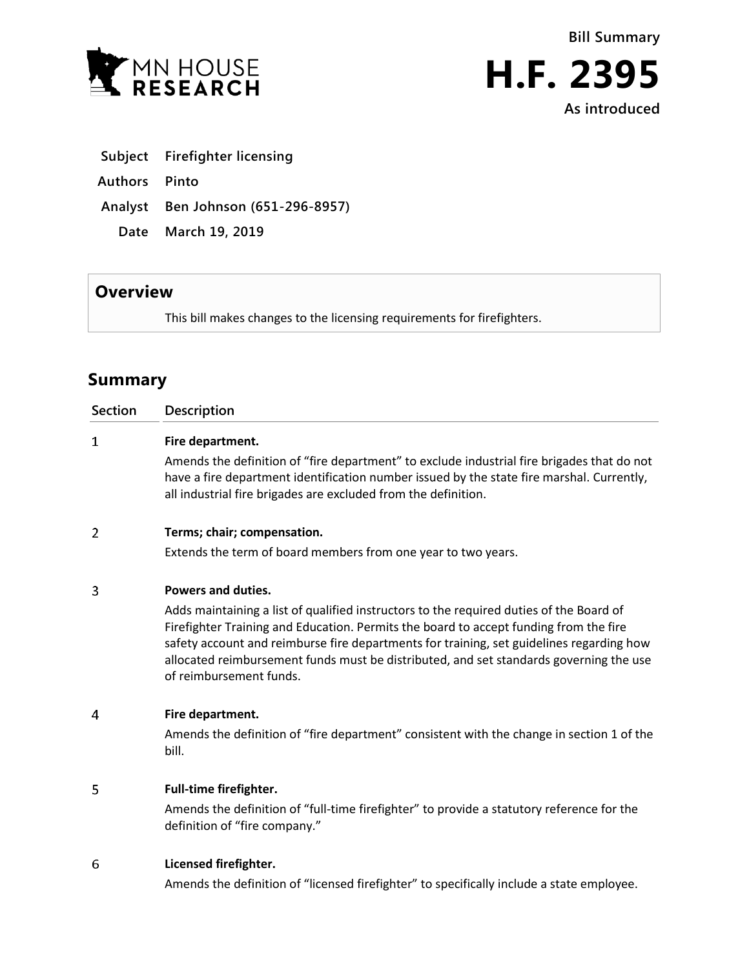**Bill Summary**





| Subject | <b>Firefighter licensing</b> |  |
|---------|------------------------------|--|
|         |                              |  |

**Authors Pinto**

**Analyst Ben Johnson (651-296-8957)**

**Date March 19, 2019**

## **Overview**

This bill makes changes to the licensing requirements for firefighters.

# **Summary**

| <b>Section</b> | Description                                                                                                                                                                                                                                                                                                                                                                                       |  |  |
|----------------|---------------------------------------------------------------------------------------------------------------------------------------------------------------------------------------------------------------------------------------------------------------------------------------------------------------------------------------------------------------------------------------------------|--|--|
| $\mathbf{1}$   | Fire department.                                                                                                                                                                                                                                                                                                                                                                                  |  |  |
|                | Amends the definition of "fire department" to exclude industrial fire brigades that do not<br>have a fire department identification number issued by the state fire marshal. Currently,<br>all industrial fire brigades are excluded from the definition.                                                                                                                                         |  |  |
| $\overline{2}$ | Terms; chair; compensation.                                                                                                                                                                                                                                                                                                                                                                       |  |  |
|                | Extends the term of board members from one year to two years.                                                                                                                                                                                                                                                                                                                                     |  |  |
| 3              | <b>Powers and duties.</b>                                                                                                                                                                                                                                                                                                                                                                         |  |  |
|                | Adds maintaining a list of qualified instructors to the required duties of the Board of<br>Firefighter Training and Education. Permits the board to accept funding from the fire<br>safety account and reimburse fire departments for training, set guidelines regarding how<br>allocated reimbursement funds must be distributed, and set standards governing the use<br>of reimbursement funds. |  |  |
| 4              | Fire department.                                                                                                                                                                                                                                                                                                                                                                                  |  |  |
|                | Amends the definition of "fire department" consistent with the change in section 1 of the<br>bill.                                                                                                                                                                                                                                                                                                |  |  |
| 5              | Full-time firefighter.                                                                                                                                                                                                                                                                                                                                                                            |  |  |
|                | Amends the definition of "full-time firefighter" to provide a statutory reference for the<br>definition of "fire company."                                                                                                                                                                                                                                                                        |  |  |
| 6              | Licensed firefighter.                                                                                                                                                                                                                                                                                                                                                                             |  |  |

Amends the definition of "licensed firefighter" to specifically include a state employee.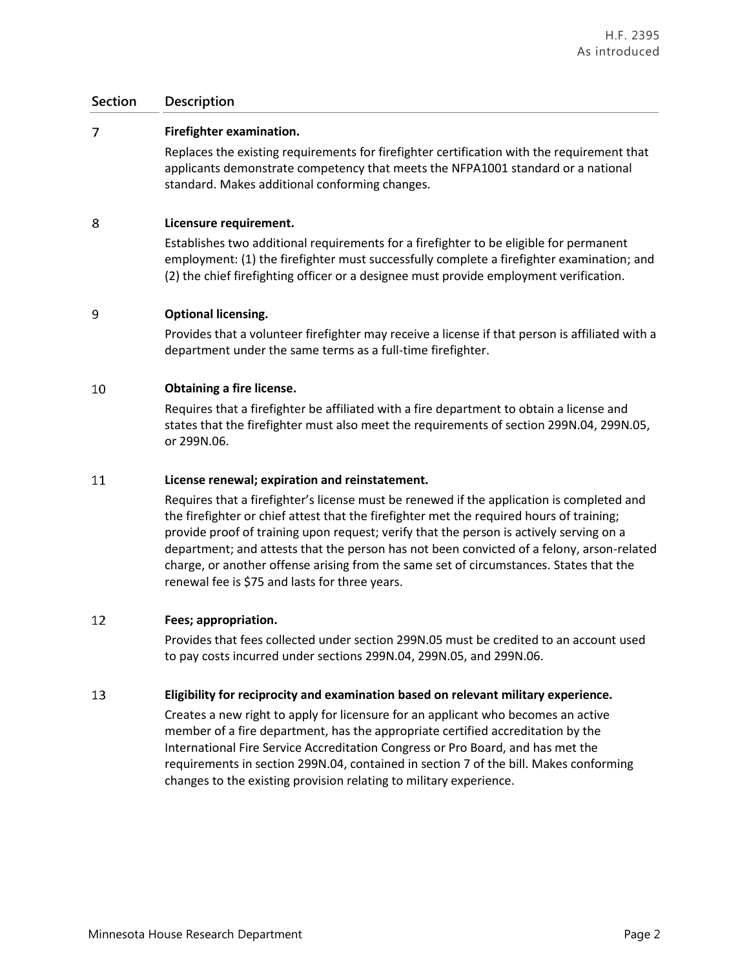### **Section Description**

#### $\overline{7}$ **Firefighter examination.**

Replaces the existing requirements for firefighter certification with the requirement that applicants demonstrate competency that meets the NFPA1001 standard or a national standard. Makes additional conforming changes.

#### 8 **Licensure requirement.**

Establishes two additional requirements for a firefighter to be eligible for permanent employment: (1) the firefighter must successfully complete a firefighter examination; and (2) the chief firefighting officer or a designee must provide employment verification.

#### 9 **Optional licensing.**

Provides that a volunteer firefighter may receive a license if that person is affiliated with a department under the same terms as a full-time firefighter.

#### 10 **Obtaining a fire license.**

Requires that a firefighter be affiliated with a fire department to obtain a license and states that the firefighter must also meet the requirements of section 299N.04, 299N.05, or 299N.06.

#### 11 **License renewal; expiration and reinstatement.**

Requires that a firefighter's license must be renewed if the application is completed and the firefighter or chief attest that the firefighter met the required hours of training; provide proof of training upon request; verify that the person is actively serving on a department; and attests that the person has not been convicted of a felony, arson-related charge, or another offense arising from the same set of circumstances. States that the renewal fee is \$75 and lasts for three years.

#### 12 **Fees; appropriation.**

Provides that fees collected under section 299N.05 must be credited to an account used to pay costs incurred under sections 299N.04, 299N.05, and 299N.06.

#### 13 **Eligibility for reciprocity and examination based on relevant military experience.**

Creates a new right to apply for licensure for an applicant who becomes an active member of a fire department, has the appropriate certified accreditation by the International Fire Service Accreditation Congress or Pro Board, and has met the requirements in section 299N.04, contained in section 7 of the bill. Makes conforming changes to the existing provision relating to military experience.